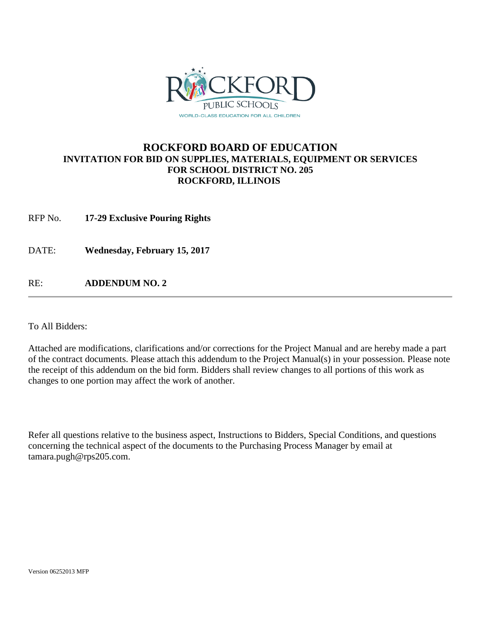

## **ROCKFORD BOARD OF EDUCATION INVITATION FOR BID ON SUPPLIES, MATERIALS, EQUIPMENT OR SERVICES FOR SCHOOL DISTRICT NO. 205 ROCKFORD, ILLINOIS**

RFP No. **17-29 Exclusive Pouring Rights**

DATE: **Wednesday, February 15, 2017**

RE: **ADDENDUM NO. 2**

To All Bidders:

Attached are modifications, clarifications and/or corrections for the Project Manual and are hereby made a part of the contract documents. Please attach this addendum to the Project Manual(s) in your possession. Please note the receipt of this addendum on the bid form. Bidders shall review changes to all portions of this work as changes to one portion may affect the work of another.

Refer all questions relative to the business aspect, Instructions to Bidders, Special Conditions, and questions concerning the technical aspect of the documents to the Purchasing Process Manager by email at tamara.pugh@rps205.com.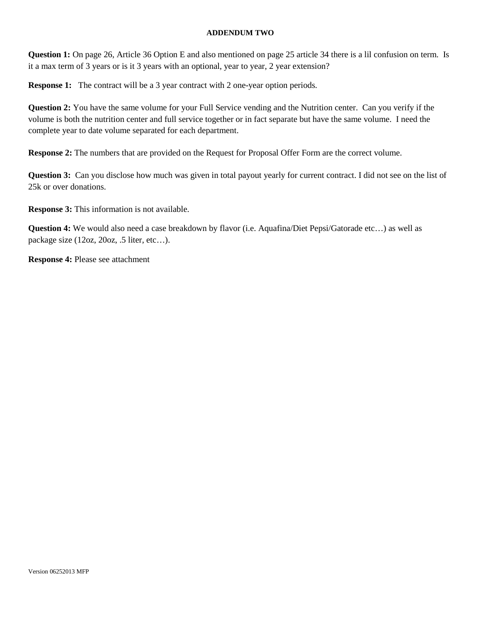## **ADDENDUM TWO**

**Question 1:** On page 26, Article 36 Option E and also mentioned on page 25 article 34 there is a lil confusion on term. Is it a max term of 3 years or is it 3 years with an optional, year to year, 2 year extension?

**Response 1:** The contract will be a 3 year contract with 2 one-year option periods.

**Question 2:** You have the same volume for your Full Service vending and the Nutrition center. Can you verify if the volume is both the nutrition center and full service together or in fact separate but have the same volume. I need the complete year to date volume separated for each department.

**Response 2:** The numbers that are provided on the Request for Proposal Offer Form are the correct volume.

**Question 3:** Can you disclose how much was given in total payout yearly for current contract. I did not see on the list of 25k or over donations.

**Response 3:** This information is not available.

**Question 4:** We would also need a case breakdown by flavor (i.e. Aquafina/Diet Pepsi/Gatorade etc…) as well as package size (12oz, 20oz, .5 liter, etc…).

**Response 4:** Please see attachment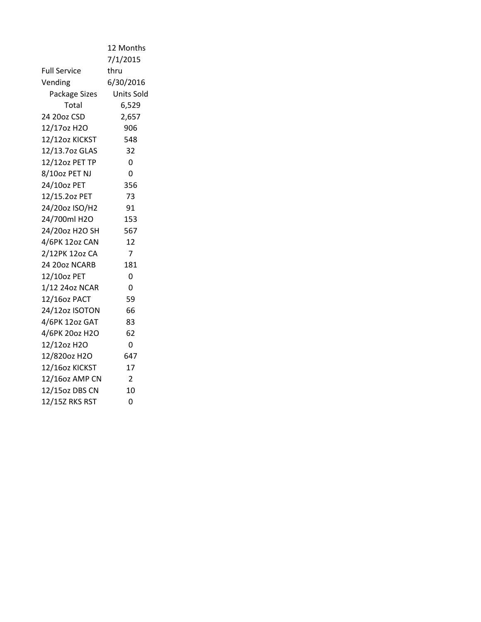|                     | 12 Months  |
|---------------------|------------|
|                     | 7/1/2015   |
| <b>Full Service</b> | thru       |
| Vending             | 6/30/2016  |
| Package Sizes       | Units Sold |
| Total               | 6,529      |
| 24 20oz CSD         | 2,657      |
| 12/17oz H2O         | 906        |
| 12/12oz KICKST      | 548        |
| 12/13.7oz GLAS      | 32         |
| 12/12oz PET TP      | 0          |
| 8/10oz PET NJ       | 0          |
| 24/10oz PET         | 356        |
| 12/15.20z PET       | 73         |
| 24/20oz ISO/H2      | 91         |
| 24/700ml H2O        | 153        |
| 24/20oz H2O SH      | 567        |
| 4/6PK 12oz CAN      | 12         |
| 2/12PK 12oz CA      | 7          |
| 24 20oz NCARB       | 181        |
| 12/10oz PET         | 0          |
| 1/12 24oz NCAR      | 0          |
| 12/16oz PACT        | 59         |
| 24/12oz ISOTON      | 66         |
| 4/6PK 12oz GAT      | 83         |
| 4/6PK 20oz H2O      | 62         |
| 12/12oz H2O         | 0          |
| 12/820oz H2O        | 647        |
| 12/16oz KICKST      | 17         |
| 12/16oz AMP CN      | 2          |
| 12/15oz DBS CN      | 10         |
| 12/15Z RKS RST      | 0          |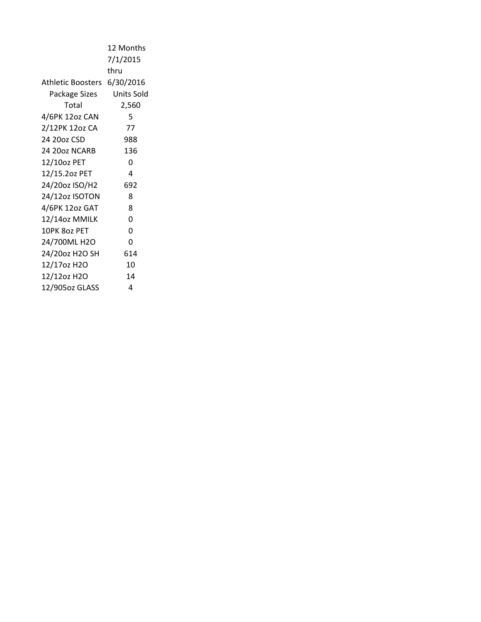|                             | 12 Months  |
|-----------------------------|------------|
|                             | 7/1/2015   |
|                             | thru       |
| Athletic Boosters 6/30/2016 |            |
| Package Sizes               | Units Sold |
| Total                       | 2,560      |
| 4/6PK 12oz CAN              | 5          |
| 2/12PK 12oz CA              | 77         |
| 24 20oz CSD                 | 988        |
| 24 20oz NCARB               | 136        |
| 12/10oz PET                 | 0          |
| 12/15.2oz PET               | 4          |
| 24/20oz ISO/H2              | 692        |
| 24/12oz ISOTON              | 8          |
| 4/6PK 12oz GAT              | 8          |
| 12/14oz MMILK               | 0          |
| 10PK 8oz PET                | 0          |
| 24/700ML H2O                | 0          |
| 24/20oz H2O SH              | 614        |
| 12/17oz H2O                 | 10         |
| 12/12oz H2O                 | 14         |
| 12/905oz GLASS              | 4          |